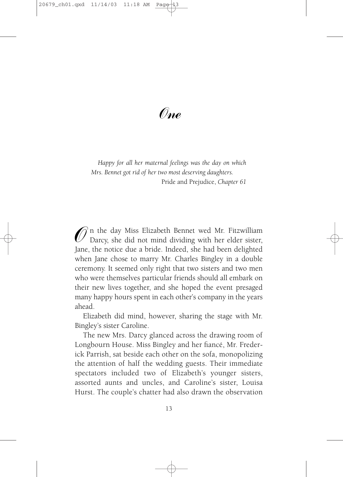One

*Happy for all her maternal feelings was the day on which Mrs. Bennet got rid of her two most deserving daughters.* Pride and Prejudice, *Chapter 61*

 $\mathscr{O}$  in the day Miss Elizabeth Bennet wed Mr. Fitzwilliam Darcy, she did not mind dividing with her elder sister, Iane, the notice due a bride, Indeed, she had been delighted Darcy, she did not mind dividing with her elder sister, Jane, the notice due a bride. Indeed, she had been delighted when Jane chose to marry Mr. Charles Bingley in a double ceremony. It seemed only right that two sisters and two men who were themselves particular friends should all embark on their new lives together, and she hoped the event presaged many happy hours spent in each other's company in the years ahead.

Elizabeth did mind, however, sharing the stage with Mr. Bingley's sister Caroline.

The new Mrs. Darcy glanced across the drawing room of Longbourn House. Miss Bingley and her fiancé, Mr. Frederick Parrish, sat beside each other on the sofa, monopolizing the attention of half the wedding guests. Their immediate spectators included two of Elizabeth's younger sisters, assorted aunts and uncles, and Caroline's sister, Louisa Hurst. The couple's chatter had also drawn the observation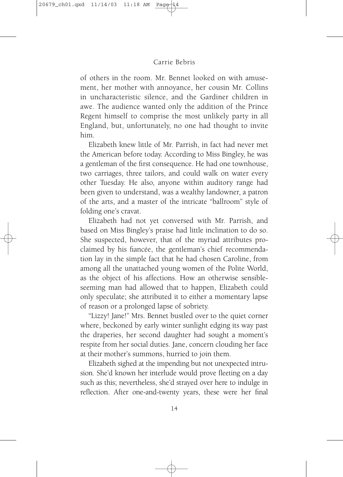of others in the room. Mr. Bennet looked on with amusement, her mother with annoyance, her cousin Mr. Collins in uncharacteristic silence, and the Gardiner children in awe. The audience wanted only the addition of the Prince Regent himself to comprise the most unlikely party in all England, but, unfortunately, no one had thought to invite him.

Elizabeth knew little of Mr. Parrish, in fact had never met the American before today. According to Miss Bingley, he was a gentleman of the first consequence. He had one townhouse, two carriages, three tailors, and could walk on water every other Tuesday. He also, anyone within auditory range had been given to understand, was a wealthy landowner, a patron of the arts, and a master of the intricate "ballroom" style of folding one's cravat.

Elizabeth had not yet conversed with Mr. Parrish, and based on Miss Bingley's praise had little inclination to do so. She suspected, however, that of the myriad attributes proclaimed by his fiancée, the gentleman's chief recommendation lay in the simple fact that he had chosen Caroline, from among all the unattached young women of the Polite World, as the object of his affections. How an otherwise sensibleseeming man had allowed that to happen, Elizabeth could only speculate; she attributed it to either a momentary lapse of reason or a prolonged lapse of sobriety.

"Lizzy! Jane!" Mrs. Bennet bustled over to the quiet corner where, beckoned by early winter sunlight edging its way past the draperies, her second daughter had sought a moment's respite from her social duties. Jane, concern clouding her face at their mother's summons, hurried to join them.

Elizabeth sighed at the impending but not unexpected intrusion. She'd known her interlude would prove fleeting on a day such as this; nevertheless, she'd strayed over here to indulge in reflection. After one-and-twenty years, these were her final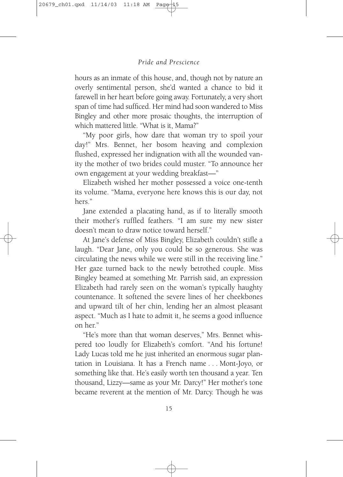hours as an inmate of this house, and, though not by nature an overly sentimental person, she'd wanted a chance to bid it farewell in her heart before going away. Fortunately, a very short span of time had sufficed. Her mind had soon wandered to Miss Bingley and other more prosaic thoughts, the interruption of which mattered little. "What is it, Mama?"

"My poor girls, how dare that woman try to spoil your day!" Mrs. Bennet, her bosom heaving and complexion flushed, expressed her indignation with all the wounded vanity the mother of two brides could muster. "To announce her own engagement at your wedding breakfast—"

Elizabeth wished her mother possessed a voice one-tenth its volume. "Mama, everyone here knows this is our day, not hers."

Jane extended a placating hand, as if to literally smooth their mother's ruffled feathers. "I am sure my new sister doesn't mean to draw notice toward herself."

At Jane's defense of Miss Bingley, Elizabeth couldn't stifle a laugh. "Dear Jane, only you could be so generous. She was circulating the news while we were still in the receiving line." Her gaze turned back to the newly betrothed couple. Miss Bingley beamed at something Mr. Parrish said, an expression Elizabeth had rarely seen on the woman's typically haughty countenance. It softened the severe lines of her cheekbones and upward tilt of her chin, lending her an almost pleasant aspect. "Much as I hate to admit it, he seems a good influence on her"

"He's more than that woman deserves," Mrs. Bennet whispered too loudly for Elizabeth's comfort. "And his fortune! Lady Lucas told me he just inherited an enormous sugar plantation in Louisiana. It has a French name . . . Mont-Joyo, or something like that. He's easily worth ten thousand a year. Ten thousand, Lizzy—same as your Mr. Darcy!" Her mother's tone became reverent at the mention of Mr. Darcy. Though he was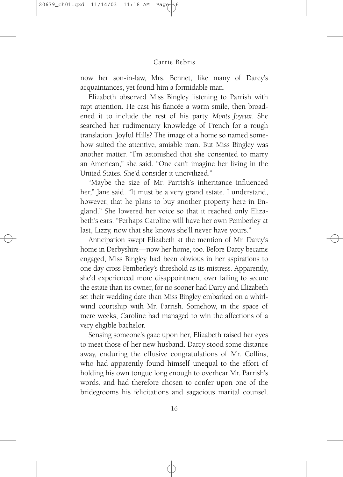now her son-in-law, Mrs. Bennet, like many of Darcy's acquaintances, yet found him a formidable man.

Elizabeth observed Miss Bingley listening to Parrish with rapt attention. He cast his fiancée a warm smile, then broadened it to include the rest of his party. *Monts Joyeux.* She searched her rudimentary knowledge of French for a rough translation. Joyful Hills? The image of a home so named somehow suited the attentive, amiable man. But Miss Bingley was another matter. "I'm astonished that she consented to marry an American," she said. "One can't imagine her living in the United States. She'd consider it uncivilized."

"Maybe the size of Mr. Parrish's inheritance influenced her," Jane said. "It must be a very grand estate. I understand, however, that he plans to buy another property here in England." She lowered her voice so that it reached only Elizabeth's ears. "Perhaps Caroline will have her own Pemberley at last, Lizzy, now that she knows she'll never have yours."

Anticipation swept Elizabeth at the mention of Mr. Darcy's home in Derbyshire—now her home, too. Before Darcy became engaged, Miss Bingley had been obvious in her aspirations to one day cross Pemberley's threshold as its mistress. Apparently, she'd experienced more disappointment over failing to secure the estate than its owner, for no sooner had Darcy and Elizabeth set their wedding date than Miss Bingley embarked on a whirlwind courtship with Mr. Parrish. Somehow, in the space of mere weeks, Caroline had managed to win the affections of a very eligible bachelor.

Sensing someone's gaze upon her, Elizabeth raised her eyes to meet those of her new husband. Darcy stood some distance away, enduring the effusive congratulations of Mr. Collins, who had apparently found himself unequal to the effort of holding his own tongue long enough to overhear Mr. Parrish's words, and had therefore chosen to confer upon one of the bridegrooms his felicitations and sagacious marital counsel.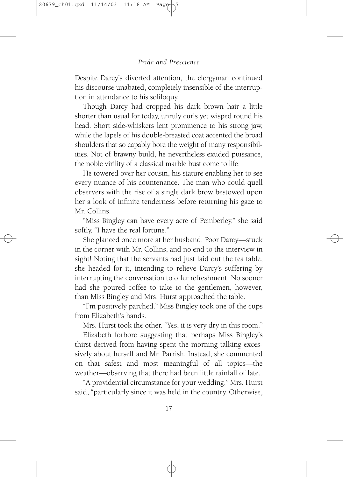Despite Darcy's diverted attention, the clergyman continued his discourse unabated, completely insensible of the interruption in attendance to his soliloquy.

Though Darcy had cropped his dark brown hair a little shorter than usual for today, unruly curls yet wisped round his head. Short side-whiskers lent prominence to his strong jaw, while the lapels of his double-breasted coat accented the broad shoulders that so capably bore the weight of many responsibilities. Not of brawny build, he nevertheless exuded puissance, the noble virility of a classical marble bust come to life.

He towered over her cousin, his stature enabling her to see every nuance of his countenance. The man who could quell observers with the rise of a single dark brow bestowed upon her a look of infinite tenderness before returning his gaze to Mr. Collins.

"Miss Bingley can have every acre of Pemberley," she said softly. "I have the real fortune."

She glanced once more at her husband. Poor Darcy—stuck in the corner with Mr. Collins, and no end to the interview in sight! Noting that the servants had just laid out the tea table, she headed for it, intending to relieve Darcy's suffering by interrupting the conversation to offer refreshment. No sooner had she poured coffee to take to the gentlemen, however, than Miss Bingley and Mrs. Hurst approached the table.

"I'm positively parched." Miss Bingley took one of the cups from Elizabeth's hands.

Mrs. Hurst took the other. "Yes, it is very dry in this room."

Elizabeth forbore suggesting that perhaps Miss Bingley's thirst derived from having spent the morning talking excessively about herself and Mr. Parrish. Instead, she commented on that safest and most meaningful of all topics—the weather—observing that there had been little rainfall of late.

"A providential circumstance for your wedding," Mrs. Hurst said, "particularly since it was held in the country. Otherwise,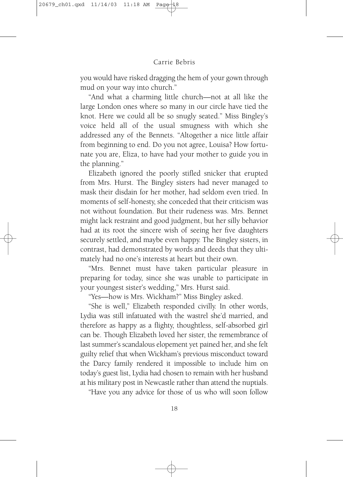you would have risked dragging the hem of your gown through mud on your way into church."

"And what a charming little church—not at all like the large London ones where so many in our circle have tied the knot. Here we could all be so snugly seated." Miss Bingley's voice held all of the usual smugness with which she addressed any of the Bennets. "Altogether a nice little affair from beginning to end. Do you not agree, Louisa? How fortunate you are, Eliza, to have had your mother to guide you in the planning."

Elizabeth ignored the poorly stifled snicker that erupted from Mrs. Hurst. The Bingley sisters had never managed to mask their disdain for her mother, had seldom even tried. In moments of self-honesty, she conceded that their criticism was not without foundation. But their rudeness was. Mrs. Bennet might lack restraint and good judgment, but her silly behavior had at its root the sincere wish of seeing her five daughters securely settled, and maybe even happy. The Bingley sisters, in contrast, had demonstrated by words and deeds that they ultimately had no one's interests at heart but their own.

"Mrs. Bennet must have taken particular pleasure in preparing for today, since she was unable to participate in your youngest sister's wedding," Mrs. Hurst said.

"Yes—how is Mrs. Wickham?" Miss Bingley asked.

"She is well," Elizabeth responded civilly. In other words, Lydia was still infatuated with the wastrel she'd married, and therefore as happy as a flighty, thoughtless, self-absorbed girl can be. Though Elizabeth loved her sister, the remembrance of last summer's scandalous elopement yet pained her, and she felt guilty relief that when Wickham's previous misconduct toward the Darcy family rendered it impossible to include him on today's guest list, Lydia had chosen to remain with her husband at his military post in Newcastle rather than attend the nuptials.

"Have you any advice for those of us who will soon follow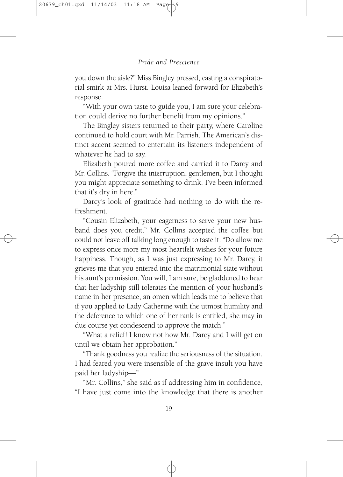you down the aisle?" Miss Bingley pressed, casting a conspiratorial smirk at Mrs. Hurst. Louisa leaned forward for Elizabeth's response.

"With your own taste to guide you, I am sure your celebration could derive no further benefit from my opinions."

The Bingley sisters returned to their party, where Caroline continued to hold court with Mr. Parrish. The American's distinct accent seemed to entertain its listeners independent of whatever he had to say.

Elizabeth poured more coffee and carried it to Darcy and Mr. Collins. "Forgive the interruption, gentlemen, but I thought you might appreciate something to drink. I've been informed that it's dry in here."

Darcy's look of gratitude had nothing to do with the refreshment.

"Cousin Elizabeth, your eagerness to serve your new husband does you credit." Mr. Collins accepted the coffee but could not leave off talking long enough to taste it. "Do allow me to express once more my most heartfelt wishes for your future happiness. Though, as I was just expressing to Mr. Darcy, it grieves me that you entered into the matrimonial state without his aunt's permission. You will, I am sure, be gladdened to hear that her ladyship still tolerates the mention of your husband's name in her presence, an omen which leads me to believe that if you applied to Lady Catherine with the utmost humility and the deference to which one of her rank is entitled, she may in due course yet condescend to approve the match."

"What a relief! I know not how Mr. Darcy and I will get on until we obtain her approbation."

"Thank goodness you realize the seriousness of the situation. I had feared you were insensible of the grave insult you have paid her ladyship—"

"Mr. Collins," she said as if addressing him in confidence, "I have just come into the knowledge that there is another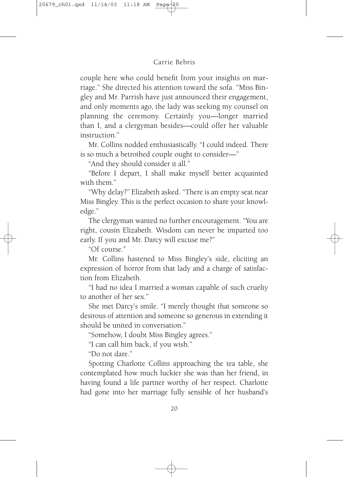couple here who could benefit from your insights on marriage." She directed his attention toward the sofa. "Miss Bingley and Mr. Parrish have just announced their engagement, and only moments ago, the lady was seeking my counsel on planning the ceremony. Certainly you—longer married than I, and a clergyman besides—could offer her valuable instruction<sup>"</sup>

Mr. Collins nodded enthusiastically. "I could indeed. There is so much a betrothed couple ought to consider—"

"And they should consider it all."

"Before I depart, I shall make myself better acquainted with them<sup>"</sup>

"Why delay?" Elizabeth asked. "There is an empty seat near Miss Bingley. This is the perfect occasion to share your knowledge."

The clergyman wanted no further encouragement. "You are right, cousin Elizabeth. Wisdom can never be imparted too early. If you and Mr. Darcy will excuse me?"

"Of course."

Mr. Collins hastened to Miss Bingley's side, eliciting an expression of horror from that lady and a charge of satisfaction from Elizabeth.

"I had no idea I married a woman capable of such cruelty to another of her sex."

She met Darcy's smile. "I merely thought that someone so desirous of attention and someone so generous in extending it should be united in conversation."

"Somehow, I doubt Miss Bingley agrees."

"I can call him back, if you wish."

"Do not dare."

Spotting Charlotte Collins approaching the tea table, she contemplated how much luckier she was than her friend, in having found a life partner worthy of her respect. Charlotte had gone into her marriage fully sensible of her husband's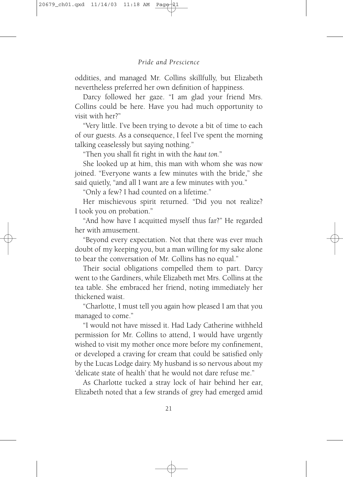oddities, and managed Mr. Collins skillfully, but Elizabeth nevertheless preferred her own definition of happiness.

Darcy followed her gaze. "I am glad your friend Mrs. Collins could be here. Have you had much opportunity to visit with her?"

"Very little. I've been trying to devote a bit of time to each of our guests. As a consequence, I feel I've spent the morning talking ceaselessly but saying nothing."

"Then you shall fit right in with the *haut ton.*"

She looked up at him, this man with whom she was now joined. "Everyone wants a few minutes with the bride," she said quietly, "and all I want are a few minutes with you."

"Only a few? I had counted on a lifetime."

Her mischievous spirit returned. "Did you not realize? I took you on probation."

"And how have I acquitted myself thus far?" He regarded her with amusement.

"Beyond every expectation. Not that there was ever much doubt of my keeping you, but a man willing for my sake alone to bear the conversation of Mr. Collins has no equal."

Their social obligations compelled them to part. Darcy went to the Gardiners, while Elizabeth met Mrs. Collins at the tea table. She embraced her friend, noting immediately her thickened waist.

"Charlotte, I must tell you again how pleased I am that you managed to come."

"I would not have missed it. Had Lady Catherine withheld permission for Mr. Collins to attend, I would have urgently wished to visit my mother once more before my confinement, or developed a craving for cream that could be satisfied only by the Lucas Lodge dairy. My husband is so nervous about my 'delicate state of health' that he would not dare refuse me."

As Charlotte tucked a stray lock of hair behind her ear, Elizabeth noted that a few strands of grey had emerged amid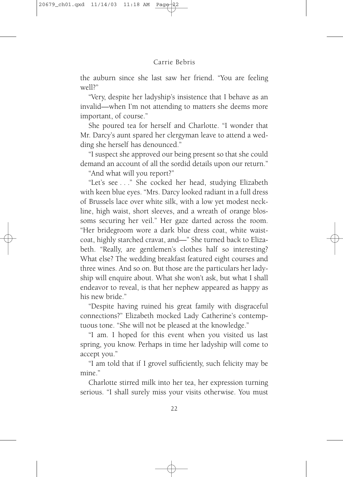the auburn since she last saw her friend. "You are feeling  $W^{\rho}$ <sup>112"</sup>

"Very, despite her ladyship's insistence that I behave as an invalid—when I'm not attending to matters she deems more important, of course."

She poured tea for herself and Charlotte. "I wonder that Mr. Darcy's aunt spared her clergyman leave to attend a wedding she herself has denounced."

"I suspect she approved our being present so that she could demand an account of all the sordid details upon our return."

"And what will you report?"

"Let's see . . ." She cocked her head, studying Elizabeth with keen blue eyes. "Mrs. Darcy looked radiant in a full dress of Brussels lace over white silk, with a low yet modest neckline, high waist, short sleeves, and a wreath of orange blossoms securing her veil." Her gaze darted across the room. "Her bridegroom wore a dark blue dress coat, white waistcoat, highly starched cravat, and—" She turned back to Elizabeth. "Really, are gentlemen's clothes half so interesting? What else? The wedding breakfast featured eight courses and three wines. And so on. But those are the particulars her ladyship will enquire about. What she won't ask, but what I shall endeavor to reveal, is that her nephew appeared as happy as his new bride."

"Despite having ruined his great family with disgraceful connections?" Elizabeth mocked Lady Catherine's contemptuous tone. "She will not be pleased at the knowledge."

"I am. I hoped for this event when you visited us last spring, you know. Perhaps in time her ladyship will come to accept you."

"I am told that if I grovel sufficiently, such felicity may be mine."

Charlotte stirred milk into her tea, her expression turning serious. "I shall surely miss your visits otherwise. You must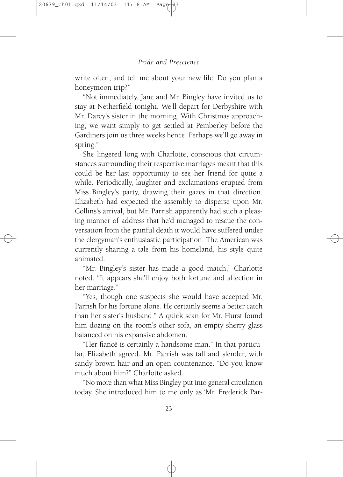write often, and tell me about your new life. Do you plan a honeymoon trip?"

"Not immediately. Jane and Mr. Bingley have invited us to stay at Netherfield tonight. We'll depart for Derbyshire with Mr. Darcy's sister in the morning. With Christmas approaching, we want simply to get settled at Pemberley before the Gardiners join us three weeks hence. Perhaps we'll go away in spring."

She lingered long with Charlotte, conscious that circumstances surrounding their respective marriages meant that this could be her last opportunity to see her friend for quite a while. Periodically, laughter and exclamations erupted from Miss Bingley's party, drawing their gazes in that direction. Elizabeth had expected the assembly to disperse upon Mr. Collins's arrival, but Mr. Parrish apparently had such a pleasing manner of address that he'd managed to rescue the conversation from the painful death it would have suffered under the clergyman's enthusiastic participation. The American was currently sharing a tale from his homeland, his style quite animated.

"Mr. Bingley's sister has made a good match," Charlotte noted. "It appears she'll enjoy both fortune and affection in her marriage."

"Yes, though one suspects she would have accepted Mr. Parrish for his fortune alone. He certainly seems a better catch than her sister's husband." A quick scan for Mr. Hurst found him dozing on the room's other sofa, an empty sherry glass balanced on his expansive abdomen.

"Her fiancé is certainly a handsome man." In that particular, Elizabeth agreed. Mr. Parrish was tall and slender, with sandy brown hair and an open countenance. "Do you know much about him?" Charlotte asked.

"No more than what Miss Bingley put into general circulation today. She introduced him to me only as 'Mr. Frederick Par-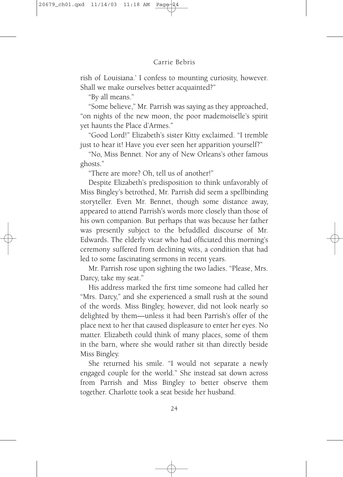rish of Louisiana.' I confess to mounting curiosity, however. Shall we make ourselves better acquainted?"

"By all means."

"Some believe," Mr. Parrish was saying as they approached, "on nights of the new moon, the poor mademoiselle's spirit yet haunts the Place d'Armes."

"Good Lord!" Elizabeth's sister Kitty exclaimed. "I tremble just to hear it! Have you ever seen her apparition yourself?"

"No, Miss Bennet. Nor any of New Orleans's other famous ghosts."

"There are more? Oh, tell us of another!"

Despite Elizabeth's predisposition to think unfavorably of Miss Bingley's betrothed, Mr. Parrish did seem a spellbinding storyteller. Even Mr. Bennet, though some distance away, appeared to attend Parrish's words more closely than those of his own companion. But perhaps that was because her father was presently subject to the befuddled discourse of Mr. Edwards. The elderly vicar who had officiated this morning's ceremony suffered from declining wits, a condition that had led to some fascinating sermons in recent years.

Mr. Parrish rose upon sighting the two ladies. "Please, Mrs. Darcy, take my seat."

His address marked the first time someone had called her "Mrs. Darcy," and she experienced a small rush at the sound of the words. Miss Bingley, however, did not look nearly so delighted by them—unless it had been Parrish's offer of the place next to her that caused displeasure to enter her eyes. No matter. Elizabeth could think of many places, some of them in the barn, where she would rather sit than directly beside Miss Bingley.

She returned his smile. "I would not separate a newly engaged couple for the world." She instead sat down across from Parrish and Miss Bingley to better observe them together. Charlotte took a seat beside her husband.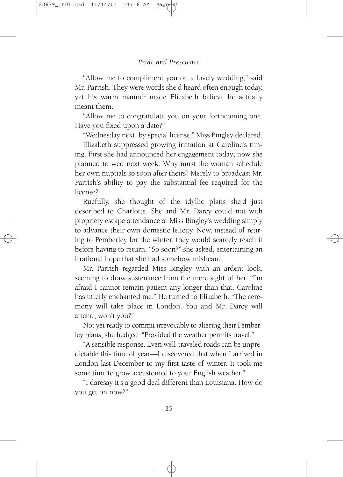"Allow me to compliment you on a lovely wedding," said Mr. Parrish. They were words she'd heard often enough today, yet his warm manner made Elizabeth believe he actually meant them.

"Allow me to congratulate you on your forthcoming one. Have you fixed upon a date?"

"Wednesday next, by special license," Miss Bingley declared.

Elizabeth suppressed growing irritation at Caroline's timing. First she had announced her engagement today; now she planned to wed next week. Why must the woman schedule her own nuptials so soon after theirs? Merely to broadcast Mr. Parrish's ability to pay the substantial fee required for the license?

Ruefully, she thought of the idyllic plans she'd just described to Charlotte. She and Mr. Darcy could not with propriety escape attendance at Miss Bingley's wedding simply to advance their own domestic felicity. Now, instead of retiring to Pemberley for the winter, they would scarcely reach it before having to return. "So soon?" she asked, entertaining an irrational hope that she had somehow misheard.

Mr. Parrish regarded Miss Bingley with an ardent look, seeming to draw sustenance from the mere sight of her. "I'm afraid I cannot remain patient any longer than that. Caroline has utterly enchanted me." He turned to Elizabeth. "The ceremony will take place in London. You and Mr. Darcy will attend, won't you?"

Not yet ready to commit irrevocably to altering their Pemberley plans, she hedged. "Provided the weather permits travel."

"A sensible response. Even well-traveled roads can be unpredictable this time of year—I discovered that when I arrived in London last December to my first taste of winter. It took me some time to grow accustomed to your English weather."

"I daresay it's a good deal different than Louisiana. How do you get on now?"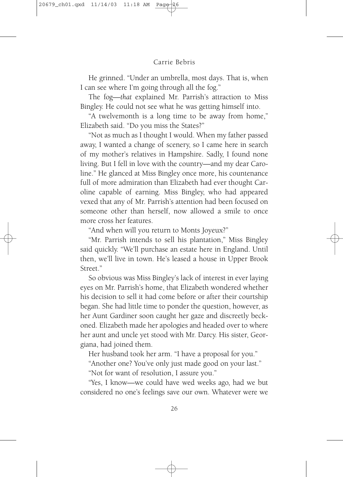He grinned. "Under an umbrella, most days. That is, when I can see where I'm going through all the fog."

The fog—*that* explained Mr. Parrish's attraction to Miss Bingley. He could not see what he was getting himself into.

"A twelvemonth is a long time to be away from home," Elizabeth said. "Do you miss the States?"

"Not as much as I thought I would. When my father passed away, I wanted a change of scenery, so I came here in search of my mother's relatives in Hampshire. Sadly, I found none living. But I fell in love with the country—and my dear Caroline." He glanced at Miss Bingley once more, his countenance full of more admiration than Elizabeth had ever thought Caroline capable of earning. Miss Bingley, who had appeared vexed that any of Mr. Parrish's attention had been focused on someone other than herself, now allowed a smile to once more cross her features.

"And when will you return to Monts Joyeux?"

"Mr. Parrish intends to sell his plantation," Miss Bingley said quickly. "We'll purchase an estate here in England. Until then, we'll live in town. He's leased a house in Upper Brook Street."

So obvious was Miss Bingley's lack of interest in ever laying eyes on Mr. Parrish's home, that Elizabeth wondered whether his decision to sell it had come before or after their courtship began. She had little time to ponder the question, however, as her Aunt Gardiner soon caught her gaze and discreetly beckoned. Elizabeth made her apologies and headed over to where her aunt and uncle yet stood with Mr. Darcy. His sister, Georgiana, had joined them.

Her husband took her arm. "I have a proposal for you."

"Another one? You've only just made good on your last."

"Not for want of resolution, I assure you."

"Yes, I know—we could have wed weeks ago, had we but considered no one's feelings save our own. Whatever were we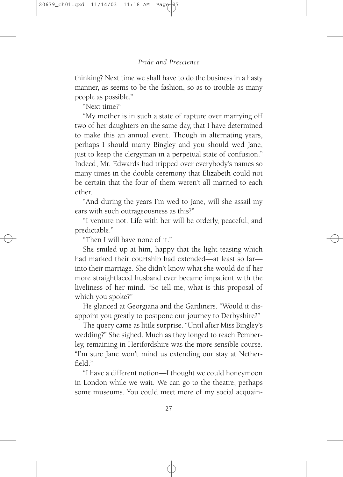thinking? Next time we shall have to do the business in a hasty manner, as seems to be the fashion, so as to trouble as many people as possible."

"Next time?"

"My mother is in such a state of rapture over marrying off two of her daughters on the same day, that I have determined to make this an annual event. Though in alternating years, perhaps I should marry Bingley and you should wed Jane, just to keep the clergyman in a perpetual state of confusion." Indeed, Mr. Edwards had tripped over everybody's names so many times in the double ceremony that Elizabeth could not be certain that the four of them weren't all married to each other.

"And during the years I'm wed to Jane, will she assail my ears with such outrageousness as this?"

"I venture not. Life with her will be orderly, peaceful, and predictable."

"Then I will have none of it."

She smiled up at him, happy that the light teasing which had marked their courtship had extended—at least so far into their marriage. She didn't know what she would do if her more straightlaced husband ever became impatient with the liveliness of her mind. "So tell me, what is this proposal of which you spoke?"

He glanced at Georgiana and the Gardiners. "Would it disappoint you greatly to postpone our journey to Derbyshire?"

The query came as little surprise. "Until after Miss Bingley's wedding?" She sighed. Much as they longed to reach Pemberley, remaining in Hertfordshire was the more sensible course. "I'm sure Jane won't mind us extending our stay at Netherfield."

"I have a different notion—I thought we could honeymoon in London while we wait. We can go to the theatre, perhaps some museums. You could meet more of my social acquain-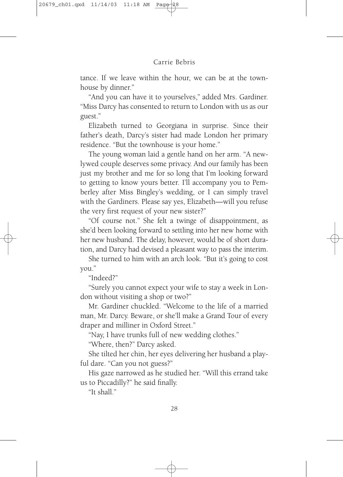tance. If we leave within the hour, we can be at the townhouse by dinner."

"And you can have it to yourselves," added Mrs. Gardiner. "Miss Darcy has consented to return to London with us as our guest."

Elizabeth turned to Georgiana in surprise. Since their father's death, Darcy's sister had made London her primary residence. "But the townhouse is your home."

The young woman laid a gentle hand on her arm. "A newlywed couple deserves some privacy. And our family has been just my brother and me for so long that I'm looking forward to getting to know yours better. I'll accompany you to Pemberley after Miss Bingley's wedding, or I can simply travel with the Gardiners. Please say yes, Elizabeth—will you refuse the very first request of your new sister?"

"Of course not." She felt a twinge of disappointment, as she'd been looking forward to settling into her new home with her new husband. The delay, however, would be of short duration, and Darcy had devised a pleasant way to pass the interim.

She turned to him with an arch look. "But it's going to cost you."

"Indeed?"

"Surely you cannot expect your wife to stay a week in London without visiting a shop or two?"

Mr. Gardiner chuckled. "Welcome to the life of a married man, Mr. Darcy. Beware, or she'll make a Grand Tour of every draper and milliner in Oxford Street."

"Nay, I have trunks full of new wedding clothes."

"Where, then?" Darcy asked.

She tilted her chin, her eyes delivering her husband a playful dare. "Can you not guess?"

His gaze narrowed as he studied her. "Will this errand take us to Piccadilly?" he said finally.

"It shall."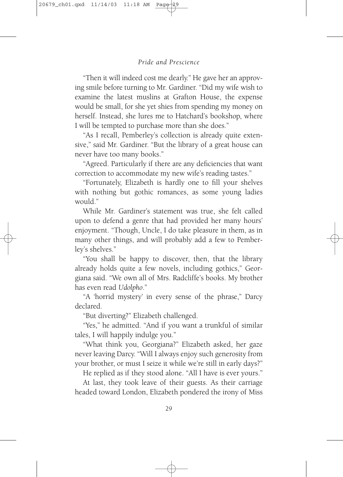### *Pride and Prescience*

"Then it will indeed cost me dearly." He gave her an approving smile before turning to Mr. Gardiner. "Did my wife wish to examine the latest muslins at Grafton House, the expense would be small, for she yet shies from spending my money on herself. Instead, she lures me to Hatchard's bookshop, where I will be tempted to purchase more than she does."

"As I recall, Pemberley's collection is already quite extensive," said Mr. Gardiner. "But the library of a great house can never have too many books."

"Agreed. Particularly if there are any deficiencies that want correction to accommodate my new wife's reading tastes."

"Fortunately, Elizabeth is hardly one to fill your shelves with nothing but gothic romances, as some young ladies would."

While Mr. Gardiner's statement was true, she felt called upon to defend a genre that had provided her many hours' enjoyment. "Though, Uncle, I do take pleasure in them, as in many other things, and will probably add a few to Pemberley's shelves."

"You shall be happy to discover, then, that the library already holds quite a few novels, including gothics," Georgiana said. "We own all of Mrs. Radcliffe's books. My brother has even read *Udolpho*."

"A 'horrid mystery' in every sense of the phrase," Darcy declared.

"But diverting?" Elizabeth challenged.

"Yes," he admitted. "And if you want a trunkful of similar tales, I will happily indulge you."

"What think you, Georgiana?" Elizabeth asked, her gaze never leaving Darcy. "Will I always enjoy such generosity from your brother, or must I seize it while we're still in early days?"

He replied as if they stood alone. "All I have is ever yours."

At last, they took leave of their guests. As their carriage headed toward London, Elizabeth pondered the irony of Miss